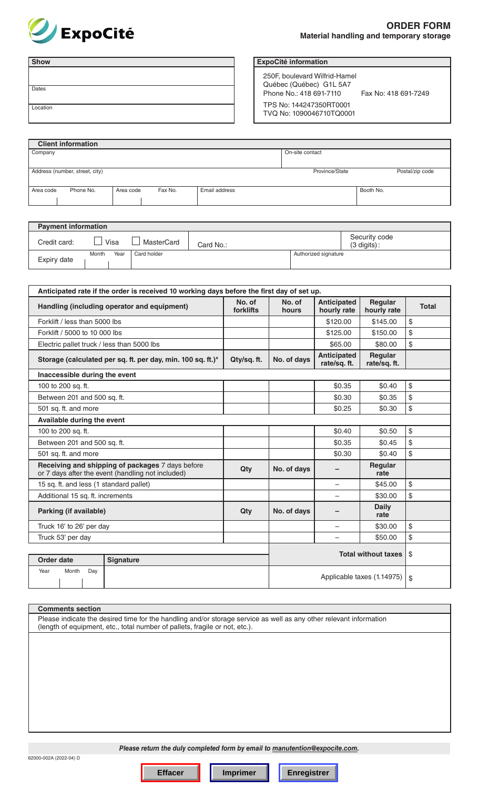

| Show     | <b>ExpoCité information</b>                              |  |
|----------|----------------------------------------------------------|--|
|          | 250F, boulevard Wilfrid-Hamel<br>Québec (Québec) G1L 5A7 |  |
| Dates    | Phone No.: 418 691-7110<br>Fax No: 418 691-7249          |  |
| Location | TPS No: 144247350RT0001<br>TVQ No: 1090046710TQ0001      |  |

| <b>Client information</b>      |           |           |                |                 |                 |           |  |
|--------------------------------|-----------|-----------|----------------|-----------------|-----------------|-----------|--|
| Company                        |           |           |                |                 | On-site contact |           |  |
|                                |           |           |                |                 |                 |           |  |
| Address (number, street, city) |           |           | Province/State | Postal/zip code |                 |           |  |
|                                |           |           |                |                 |                 |           |  |
| Area code                      | Phone No. | Area code | Fax No.        | Email address   |                 | Booth No. |  |
|                                |           |           |                |                 |                 |           |  |

| <b>Payment information</b> |               |             |           |                      |                                         |  |  |
|----------------------------|---------------|-------------|-----------|----------------------|-----------------------------------------|--|--|
| Credit card:               | Visa          | MasterCard  | Card No.: |                      | Security code<br>$(3 \text{ digits})$ : |  |  |
| Expiry date                | Year<br>Month | Card holder |           | Authorized signature |                                         |  |  |

| Anticipated rate if the order is received 10 working days before the first day of set up.             |                            |                                  |                                   |                        |              |  |  |  |
|-------------------------------------------------------------------------------------------------------|----------------------------|----------------------------------|-----------------------------------|------------------------|--------------|--|--|--|
| Handling (including operator and equipment)                                                           | No. of<br>forklifts        | No. of<br>hours                  | <b>Anticipated</b><br>hourly rate | Regular<br>hourly rate | <b>Total</b> |  |  |  |
| Forklift / less than 5000 lbs                                                                         |                            |                                  | \$120.00                          | \$145.00               | \$           |  |  |  |
| Forklift / 5000 to 10 000 lbs                                                                         |                            |                                  | \$125.00                          | \$150.00               | \$           |  |  |  |
| Electric pallet truck / less than 5000 lbs                                                            |                            |                                  | \$65.00                           | \$80.00                | \$           |  |  |  |
| Storage (calculated per sq. ft. per day, min. 100 sq. ft.)*                                           | Qty/sq. ft.                | No. of days                      | <b>Anticipated</b><br>rate/sq.ft. | Regular<br>rate/sq.ft. |              |  |  |  |
| Inaccessible during the event                                                                         |                            |                                  |                                   |                        |              |  |  |  |
| 100 to 200 sq. ft.                                                                                    |                            |                                  | \$0.35                            | \$0.40                 | \$           |  |  |  |
| Between 201 and 500 sq. ft.                                                                           |                            |                                  | \$0.30                            | \$0.35                 | \$           |  |  |  |
| 501 sq. ft. and more                                                                                  |                            |                                  | \$0.25                            | \$0.30                 | \$           |  |  |  |
| Available during the event                                                                            |                            |                                  |                                   |                        |              |  |  |  |
| 100 to 200 sq. ft.                                                                                    |                            |                                  | \$0.40                            | \$0.50                 | \$           |  |  |  |
| Between 201 and 500 sq. ft.                                                                           |                            |                                  | \$0.35                            | \$0.45                 | \$           |  |  |  |
| 501 sq. ft. and more                                                                                  |                            |                                  | \$0.30                            | \$0.40                 | \$           |  |  |  |
| Receiving and shipping of packages 7 days before<br>or 7 days after the event (handling not included) | Qty                        | No. of days                      |                                   | Regular<br>rate        |              |  |  |  |
| 15 sq. ft. and less (1 standard pallet)                                                               |                            |                                  | $\overline{\phantom{0}}$          | \$45.00                | \$           |  |  |  |
| Additional 15 sq. ft. increments                                                                      |                            |                                  | $\overline{\phantom{0}}$          | \$30.00                | \$           |  |  |  |
| Parking (if available)                                                                                | Qty                        | No. of days                      |                                   | <b>Daily</b><br>rate   |              |  |  |  |
| Truck 16' to 26' per day                                                                              |                            |                                  |                                   | \$30.00                | \$           |  |  |  |
| Truck 53' per day                                                                                     |                            |                                  | $\overline{\phantom{0}}$          | \$50.00                | \$           |  |  |  |
| <b>Order date</b><br><b>Signature</b>                                                                 | <b>Total without taxes</b> |                                  |                                   |                        | \$           |  |  |  |
| Year<br>Month<br>Day                                                                                  |                            | Applicable taxes (1.14975)<br>\$ |                                   |                        |              |  |  |  |

*Please return the duly completed form by email to [manutention@expocite.com.](mailto:manutention%40expocite.com?subject=)*

**Effacer I** Imprimer **Enregistrer**